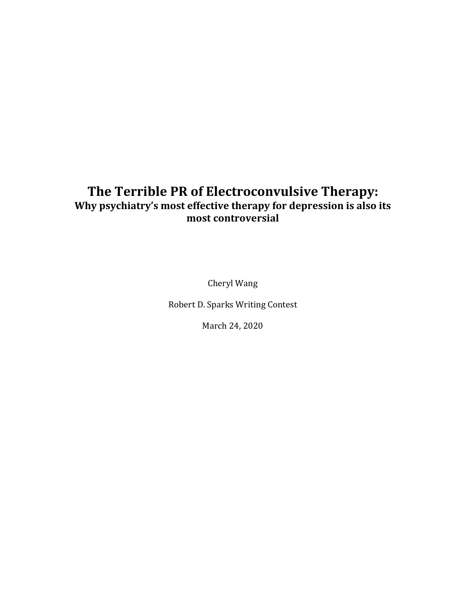## **The Terrible PR of Electroconvulsive Therapy: Why psychiatry's most effective therapy for depression is also its most controversial**

Cheryl Wang

Robert D. Sparks Writing Contest

March 24, 2020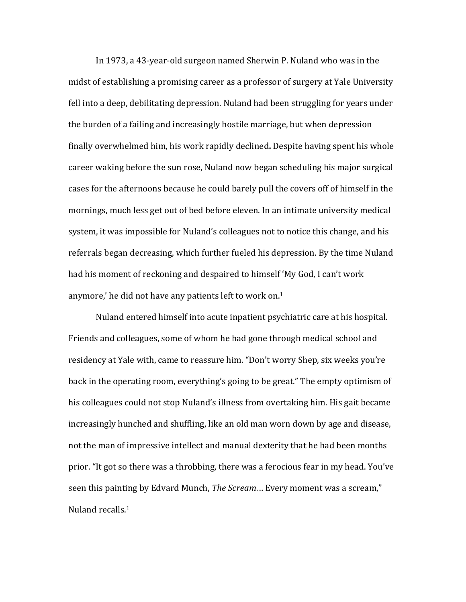In 1973, a 43-year-old surgeon named Sherwin P. Nuland who was in the midst of establishing a promising career as a professor of surgery at Yale University fell into a deep, debilitating depression. Nuland had been struggling for years under the burden of a failing and increasingly hostile marriage, but when depression finally overwhelmed him, his work rapidly declined**.** Despite having spent his whole career waking before the sun rose, Nuland now began scheduling his major surgical cases for the afternoons because he could barely pull the covers off of himself in the mornings, much less get out of bed before eleven. In an intimate university medical system, it was impossible for Nuland's colleagues not to notice this change, and his referrals began decreasing, which further fueled his depression. By the time Nuland had his moment of reckoning and despaired to himself 'My God, I can't work anymore,' he did not have any patients left to work on. 1

Nuland entered himself into acute inpatient psychiatric care at his hospital. Friends and colleagues, some of whom he had gone through medical school and residency at Yale with, came to reassure him. "Don't worry Shep, six weeks you're back in the operating room, everything's going to be great." The empty optimism of his colleagues could not stop Nuland's illness from overtaking him. His gait became increasingly hunched and shuffling, like an old man worn down by age and disease, not the man of impressive intellect and manual dexterity that he had been months prior. "It got so there was a throbbing, there was a ferocious fear in my head. You've seen this painting by Edvard Munch, *The Scream*… Every moment was a scream," Nuland recalls.1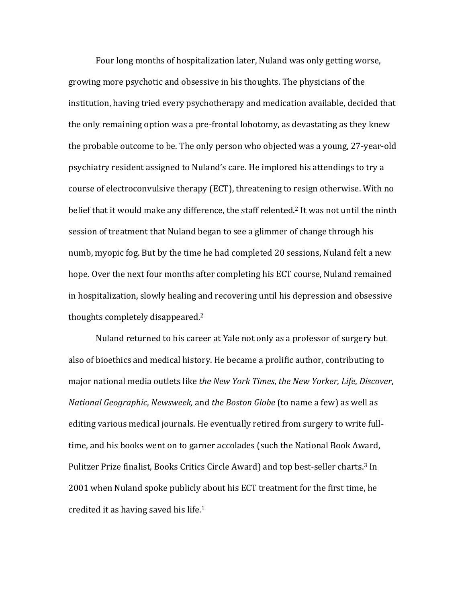Four long months of hospitalization later, Nuland was only getting worse, growing more psychotic and obsessive in his thoughts. The physicians of the institution, having tried every psychotherapy and medication available, decided that the only remaining option was a pre-frontal lobotomy, as devastating as they knew the probable outcome to be. The only person who objected was a young, 27-year-old psychiatry resident assigned to Nuland's care. He implored his attendings to try a course of electroconvulsive therapy (ECT), threatening to resign otherwise. With no belief that it would make any difference, the staff relented. <sup>2</sup> It was not until the ninth session of treatment that Nuland began to see a glimmer of change through his numb, myopic fog. But by the time he had completed 20 sessions, Nuland felt a new hope. Over the next four months after completing his ECT course, Nuland remained in hospitalization, slowly healing and recovering until his depression and obsessive thoughts completely disappeared.2

Nuland returned to his career at Yale not only as a professor of surgery but also of bioethics and medical history. He became a prolific author, contributing to major national media outlets like *the New York Times*, *the New Yorker*, *Life*, *Discover*, *National Geographic*, *Newsweek,* and *the Boston Globe* (to name a few) as well as editing various medical journals. He eventually retired from surgery to write fulltime, and his books went on to garner accolades (such the National Book Award, Pulitzer Prize finalist, Books Critics Circle Award) and top best-seller charts. <sup>3</sup> In 2001 when Nuland spoke publicly about his ECT treatment for the first time, he credited it as having saved his life.1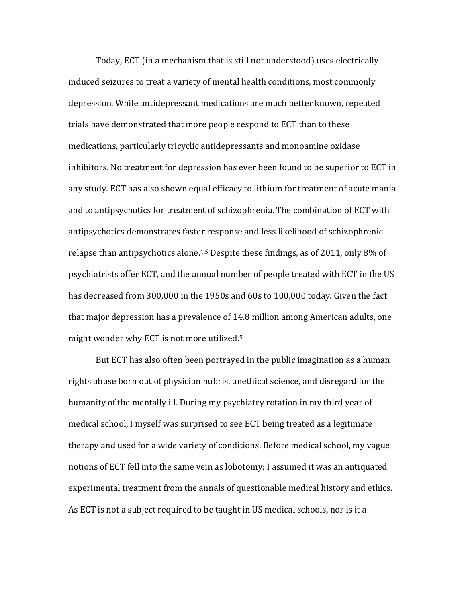Today, ECT (in a mechanism that is still not understood) uses electrically induced seizures to treat a variety of mental health conditions, most commonly depression. While antidepressant medications are much better known, repeated trials have demonstrated that more people respond to ECT than to these medications, particularly tricyclic antidepressants and monoamine oxidase inhibitors. No treatment for depression has ever been found to be superior to ECT in any study. ECT has also shown equal efficacy to lithium for treatment of acute mania and to antipsychotics for treatment of schizophrenia. The combination of ECT with antipsychotics demonstrates faster response and less likelihood of schizophrenic relapse than antipsychotics alone.4,5 Despite these findings, as of 2011, only 8% of psychiatrists offer ECT, and the annual number of people treated with ECT in the US has decreased from 300,000 in the 1950s and 60s to 100,000 today. Given the fact that major depression has a prevalence of 14.8 million among American adults, one might wonder why ECT is not more utilized.5

But ECT has also often been portrayed in the public imagination as a human rights abuse born out of physician hubris, unethical science, and disregard for the humanity of the mentally ill. During my psychiatry rotation in my third year of medical school, I myself was surprised to see ECT being treated as a legitimate therapy and used for a wide variety of conditions. Before medical school, my vague notions of ECT fell into the same vein as lobotomy; I assumed it was an antiquated experimental treatment from the annals of questionable medical history and ethics**.** As ECT is not a subject required to be taught in US medical schools, nor is it a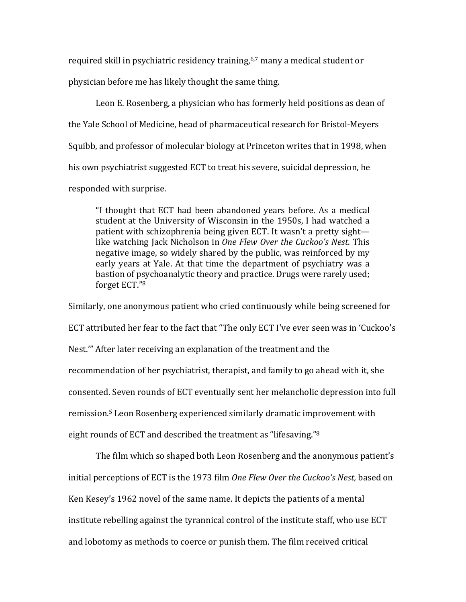required skill in psychiatric residency training,<sup>6,7</sup> many a medical student or physician before me has likely thought the same thing.

Leon E. Rosenberg, a physician who has formerly held positions as dean of the Yale School of Medicine, head of pharmaceutical research for Bristol-Meyers Squibb, and professor of molecular biology at Princeton writes that in 1998, when his own psychiatrist suggested ECT to treat his severe, suicidal depression, he responded with surprise.

"I thought that ECT had been abandoned years before. As a medical student at the University of Wisconsin in the 1950s, I had watched a patient with schizophrenia being given ECT. It wasn't a pretty sight like watching Jack Nicholson in *One Flew Over the Cuckoo's Nest*. This negative image, so widely shared by the public, was reinforced by my early years at Yale. At that time the department of psychiatry was a bastion of psychoanalytic theory and practice. Drugs were rarely used; forget ECT."8

Similarly, one anonymous patient who cried continuously while being screened for ECT attributed her fear to the fact that "The only ECT I've ever seen was in 'Cuckoo's Nest.'" After later receiving an explanation of the treatment and the recommendation of her psychiatrist, therapist, and family to go ahead with it, she consented. Seven rounds of ECT eventually sent her melancholic depression into full remission.5 Leon Rosenberg experienced similarly dramatic improvement with eight rounds of ECT and described the treatment as "lifesaving."8

The film which so shaped both Leon Rosenberg and the anonymous patient's initial perceptions of ECT is the 1973 film *One Flew Over the Cuckoo's Nest,* based on Ken Kesey's 1962 novel of the same name. It depicts the patients of a mental institute rebelling against the tyrannical control of the institute staff, who use ECT and lobotomy as methods to coerce or punish them. The film received critical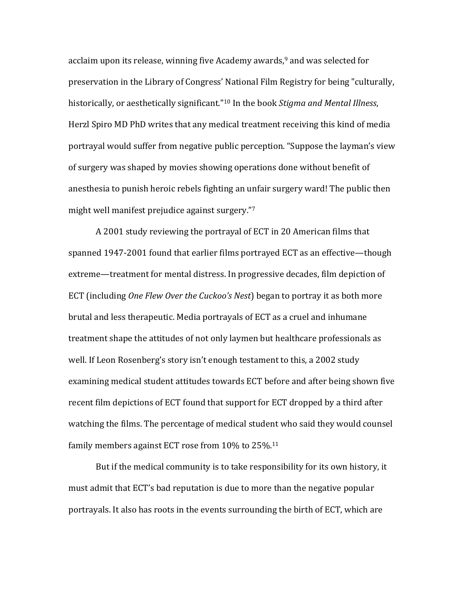acclaim upon its release, winning five Academy awards, <sup>9</sup> and was selected for preservation in the Library of Congress' National Film Registry for being "culturally, historically, or aesthetically significant."10 In the book *Stigma and Mental Illness*, Herzl Spiro MD PhD writes that any medical treatment receiving this kind of media portrayal would suffer from negative public perception. "Suppose the layman's view of surgery was shaped by movies showing operations done without benefit of anesthesia to punish heroic rebels fighting an unfair surgery ward! The public then might well manifest prejudice against surgery."7

A 2001 study reviewing the portrayal of ECT in 20 American films that spanned 1947-2001 found that earlier films portrayed ECT as an effective—though extreme—treatment for mental distress. In progressive decades, film depiction of ECT (including *One Flew Over the Cuckoo's Nest*) began to portray it as both more brutal and less therapeutic. Media portrayals of ECT as a cruel and inhumane treatment shape the attitudes of not only laymen but healthcare professionals as well. If Leon Rosenberg's story isn't enough testament to this, a 2002 study examining medical student attitudes towards ECT before and after being shown five recent film depictions of ECT found that support for ECT dropped by a third after watching the films. The percentage of medical student who said they would counsel family members against ECT rose from 10% to 25%.11

But if the medical community is to take responsibility for its own history, it must admit that ECT's bad reputation is due to more than the negative popular portrayals. It also has roots in the events surrounding the birth of ECT, which are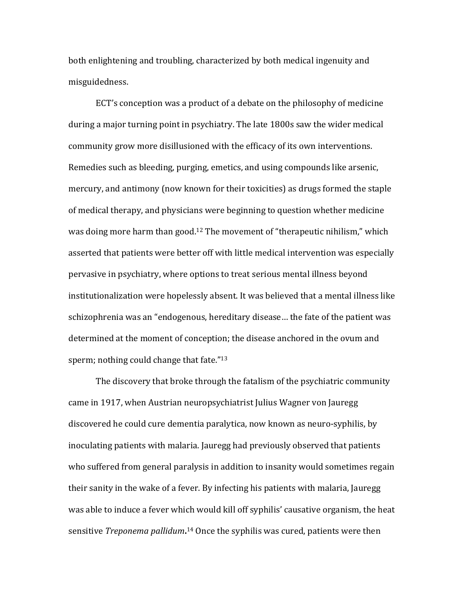both enlightening and troubling, characterized by both medical ingenuity and misguidedness.

ECT's conception was a product of a debate on the philosophy of medicine during a major turning point in psychiatry. The late 1800s saw the wider medical community grow more disillusioned with the efficacy of its own interventions. Remedies such as bleeding, purging, emetics, and using compounds like arsenic, mercury, and antimony (now known for their toxicities) as drugs formed the staple of medical therapy, and physicians were beginning to question whether medicine was doing more harm than good.12 The movement of "therapeutic nihilism," which asserted that patients were better off with little medical intervention was especially pervasive in psychiatry, where options to treat serious mental illness beyond institutionalization were hopelessly absent. It was believed that a mental illness like schizophrenia was an "endogenous, hereditary disease… the fate of the patient was determined at the moment of conception; the disease anchored in the ovum and sperm; nothing could change that fate."<sup>13</sup>

The discovery that broke through the fatalism of the psychiatric community came in 1917, when Austrian neuropsychiatrist Julius Wagner von Jauregg discovered he could cure dementia paralytica, now known as neuro-syphilis, by inoculating patients with malaria. Jauregg had previously observed that patients who suffered from general paralysis in addition to insanity would sometimes regain their sanity in the wake of a fever. By infecting his patients with malaria, Jauregg was able to induce a fever which would kill off syphilis' causative organism, the heat sensitive *Treponema pallidum***.** <sup>14</sup> Once the syphilis was cured, patients were then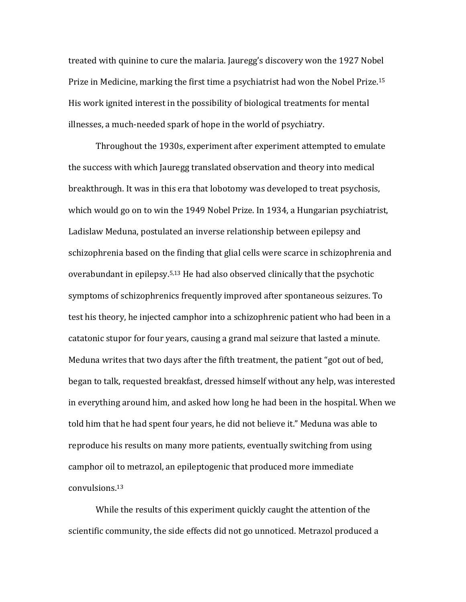treated with quinine to cure the malaria. Jauregg's discovery won the 1927 Nobel Prize in Medicine, marking the first time a psychiatrist had won the Nobel Prize.15 His work ignited interest in the possibility of biological treatments for mental illnesses, a much-needed spark of hope in the world of psychiatry.

Throughout the 1930s, experiment after experiment attempted to emulate the success with which Jauregg translated observation and theory into medical breakthrough. It was in this era that lobotomy was developed to treat psychosis, which would go on to win the 1949 Nobel Prize. In 1934, a Hungarian psychiatrist, Ladislaw Meduna, postulated an inverse relationship between epilepsy and schizophrenia based on the finding that glial cells were scarce in schizophrenia and overabundant in epilepsy.5,13 He had also observed clinically that the psychotic symptoms of schizophrenics frequently improved after spontaneous seizures. To test his theory, he injected camphor into a schizophrenic patient who had been in a catatonic stupor for four years, causing a grand mal seizure that lasted a minute. Meduna writes that two days after the fifth treatment, the patient "got out of bed, began to talk, requested breakfast, dressed himself without any help, was interested in everything around him, and asked how long he had been in the hospital. When we told him that he had spent four years, he did not believe it." Meduna was able to reproduce his results on many more patients, eventually switching from using camphor oil to metrazol, an epileptogenic that produced more immediate convulsions.13

While the results of this experiment quickly caught the attention of the scientific community, the side effects did not go unnoticed. Metrazol produced a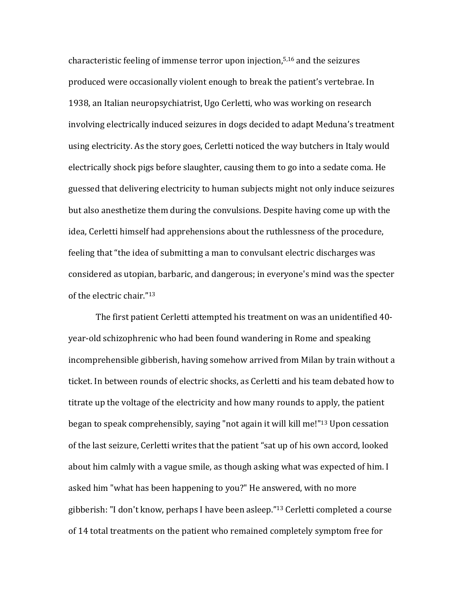characteristic feeling of immense terror upon injection,5,16 and the seizures produced were occasionally violent enough to break the patient's vertebrae. In 1938, an Italian neuropsychiatrist, Ugo Cerletti, who was working on research involving electrically induced seizures in dogs decided to adapt Meduna's treatment using electricity. As the story goes, Cerletti noticed the way butchers in Italy would electrically shock pigs before slaughter, causing them to go into a sedate coma. He guessed that delivering electricity to human subjects might not only induce seizures but also anesthetize them during the convulsions. Despite having come up with the idea, Cerletti himself had apprehensions about the ruthlessness of the procedure, feeling that "the idea of submitting a man to convulsant electric discharges was considered as utopian, barbaric, and dangerous; in everyone's mind was the specter of the electric chair."13

The first patient Cerletti attempted his treatment on was an unidentified 40 year-old schizophrenic who had been found wandering in Rome and speaking incomprehensible gibberish, having somehow arrived from Milan by train without a ticket. In between rounds of electric shocks, as Cerletti and his team debated how to titrate up the voltage of the electricity and how many rounds to apply, the patient began to speak comprehensibly, saying "not again it will kill me!"13 Upon cessation of the last seizure, Cerletti writes that the patient "sat up of his own accord, looked about him calmly with a vague smile, as though asking what was expected of him. I asked him "what has been happening to you?" He answered, with no more gibberish: "I don't know, perhaps I have been asleep."13 Cerletti completed a course of 14 total treatments on the patient who remained completely symptom free for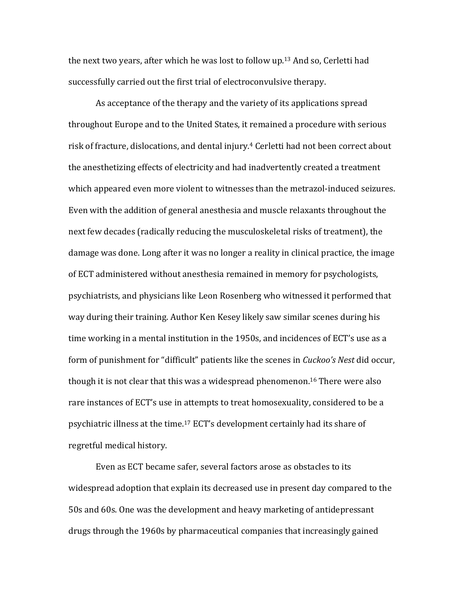the next two years, after which he was lost to follow up.13 And so, Cerletti had successfully carried out the first trial of electroconvulsive therapy.

As acceptance of the therapy and the variety of its applications spread throughout Europe and to the United States, it remained a procedure with serious risk of fracture, dislocations, and dental injury. <sup>4</sup> Cerletti had not been correct about the anesthetizing effects of electricity and had inadvertently created a treatment which appeared even more violent to witnesses than the metrazol-induced seizures. Even with the addition of general anesthesia and muscle relaxants throughout the next few decades (radically reducing the musculoskeletal risks of treatment), the damage was done. Long after it was no longer a reality in clinical practice, the image of ECT administered without anesthesia remained in memory for psychologists, psychiatrists, and physicians like Leon Rosenberg who witnessed it performed that way during their training. Author Ken Kesey likely saw similar scenes during his time working in a mental institution in the 1950s, and incidences of ECT's use as a form of punishment for "difficult" patients like the scenes in *Cuckoo's Nest* did occur, though it is not clear that this was a widespread phenomenon.16 There were also rare instances of ECT's use in attempts to treat homosexuality, considered to be a psychiatric illness at the time.17 ECT's development certainly had its share of regretful medical history.

Even as ECT became safer, several factors arose as obstacles to its widespread adoption that explain its decreased use in present day compared to the 50s and 60s. One was the development and heavy marketing of antidepressant drugs through the 1960s by pharmaceutical companies that increasingly gained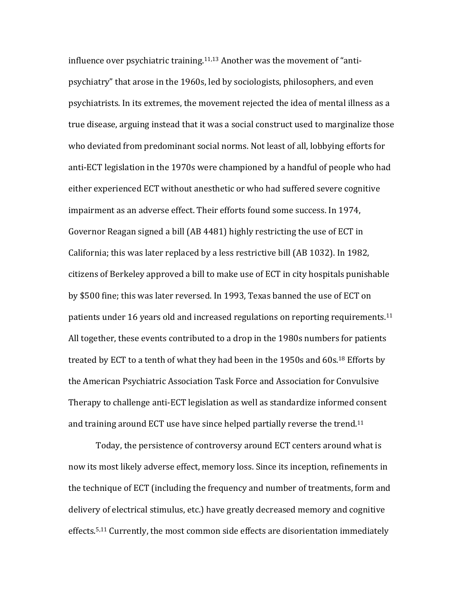influence over psychiatric training. 11,13 Another was the movement of "antipsychiatry" that arose in the 1960s, led by sociologists, philosophers, and even psychiatrists. In its extremes, the movement rejected the idea of mental illness as a true disease, arguing instead that it was a social construct used to marginalize those who deviated from predominant social norms. Not least of all, lobbying efforts for anti-ECT legislation in the 1970s were championed by a handful of people who had either experienced ECT without anesthetic or who had suffered severe cognitive impairment as an adverse effect. Their efforts found some success. In 1974, Governor Reagan signed a bill (AB 4481) highly restricting the use of ECT in California; this was later replaced by a less restrictive bill (AB 1032). In 1982, citizens of Berkeley approved a bill to make use of ECT in city hospitals punishable by \$500 fine; this was later reversed. In 1993, Texas banned the use of ECT on patients under 16 years old and increased regulations on reporting requirements.<sup>11</sup> All together, these events contributed to a drop in the 1980s numbers for patients treated by ECT to a tenth of what they had been in the 1950s and 60s.<sup>18</sup> Efforts by the American Psychiatric Association Task Force and Association for Convulsive Therapy to challenge anti-ECT legislation as well as standardize informed consent and training around ECT use have since helped partially reverse the trend.11

Today, the persistence of controversy around ECT centers around what is now its most likely adverse effect, memory loss. Since its inception, refinements in the technique of ECT (including the frequency and number of treatments, form and delivery of electrical stimulus, etc.) have greatly decreased memory and cognitive effects.5,11 Currently, the most common side effects are disorientation immediately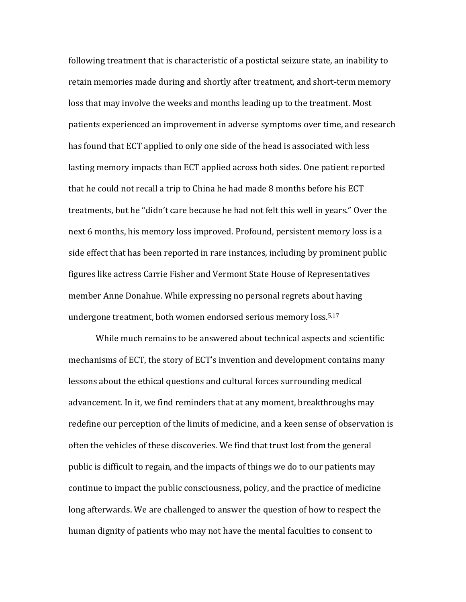following treatment that is characteristic of a postictal seizure state, an inability to retain memories made during and shortly after treatment, and short-term memory loss that may involve the weeks and months leading up to the treatment. Most patients experienced an improvement in adverse symptoms over time, and research has found that ECT applied to only one side of the head is associated with less lasting memory impacts than ECT applied across both sides. One patient reported that he could not recall a trip to China he had made 8 months before his ECT treatments, but he "didn't care because he had not felt this well in years." Over the next 6 months, his memory loss improved. Profound, persistent memory loss is a side effect that has been reported in rare instances, including by prominent public figures like actress Carrie Fisher and Vermont State House of Representatives member Anne Donahue. While expressing no personal regrets about having undergone treatment, both women endorsed serious memory loss.5,17

While much remains to be answered about technical aspects and scientific mechanisms of ECT, the story of ECT's invention and development contains many lessons about the ethical questions and cultural forces surrounding medical advancement. In it, we find reminders that at any moment, breakthroughs may redefine our perception of the limits of medicine, and a keen sense of observation is often the vehicles of these discoveries. We find that trust lost from the general public is difficult to regain, and the impacts of things we do to our patients may continue to impact the public consciousness, policy, and the practice of medicine long afterwards. We are challenged to answer the question of how to respect the human dignity of patients who may not have the mental faculties to consent to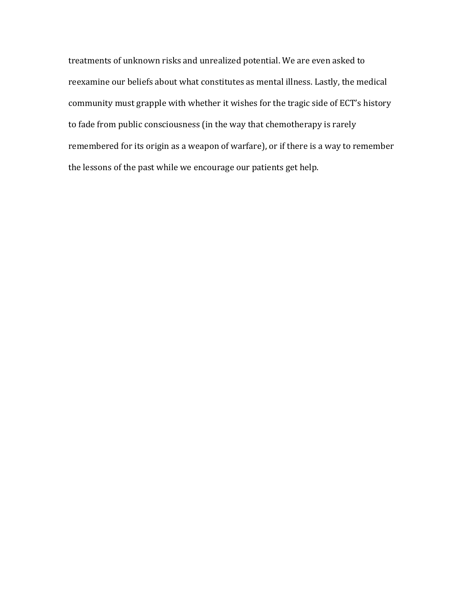treatments of unknown risks and unrealized potential. We are even asked to reexamine our beliefs about what constitutes as mental illness. Lastly, the medical community must grapple with whether it wishes for the tragic side of ECT's history to fade from public consciousness (in the way that chemotherapy is rarely remembered for its origin as a weapon of warfare), or if there is a way to remember the lessons of the past while we encourage our patients get help.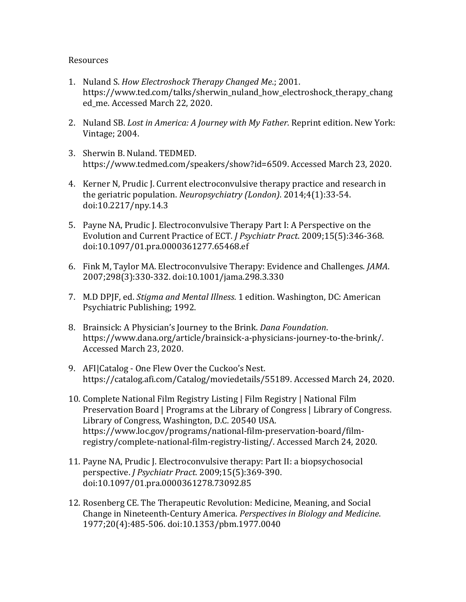## Resources

- 1. Nuland S. *How Electroshock Therapy Changed Me*.; 2001. https://www.ted.com/talks/sherwin\_nuland\_how\_electroshock\_therapy\_chang ed\_me. Accessed March 22, 2020.
- 2. Nuland SB. *Lost in America: A Journey with My Father*. Reprint edition. New York: Vintage; 2004.
- 3. Sherwin B. Nuland. TEDMED. https://www.tedmed.com/speakers/show?id=6509. Accessed March 23, 2020.
- 4. Kerner N, Prudic J. Current electroconvulsive therapy practice and research in the geriatric population. *Neuropsychiatry (London)*. 2014;4(1):33-54. doi:10.2217/npy.14.3
- 5. Payne NA, Prudic J. Electroconvulsive Therapy Part I: A Perspective on the Evolution and Current Practice of ECT. *J Psychiatr Pract*. 2009;15(5):346-368. doi:10.1097/01.pra.0000361277.65468.ef
- 6. Fink M, Taylor MA. Electroconvulsive Therapy: Evidence and Challenges. *JAMA*. 2007;298(3):330-332. doi:10.1001/jama.298.3.330
- 7. M.D DPJF, ed. *Stigma and Mental Illness*. 1 edition. Washington, DC: American Psychiatric Publishing; 1992.
- 8. Brainsick: A Physician's Journey to the Brink. *Dana Foundation*. https://www.dana.org/article/brainsick-a-physicians-journey-to-the-brink/. Accessed March 23, 2020.
- 9. AFI|Catalog One Flew Over the Cuckoo's Nest. https://catalog.afi.com/Catalog/moviedetails/55189. Accessed March 24, 2020.
- 10. Complete National Film Registry Listing | Film Registry | National Film Preservation Board | Programs at the Library of Congress | Library of Congress. Library of Congress, Washington, D.C. 20540 USA. https://www.loc.gov/programs/national-film-preservation-board/filmregistry/complete-national-film-registry-listing/. Accessed March 24, 2020.
- 11. Payne NA, Prudic J. Electroconvulsive therapy: Part II: a biopsychosocial perspective. *J Psychiatr Pract*. 2009;15(5):369-390. doi:10.1097/01.pra.0000361278.73092.85
- 12. Rosenberg CE. The Therapeutic Revolution: Medicine, Meaning, and Social Change in Nineteenth-Century America. *Perspectives in Biology and Medicine*. 1977;20(4):485-506. doi:10.1353/pbm.1977.0040